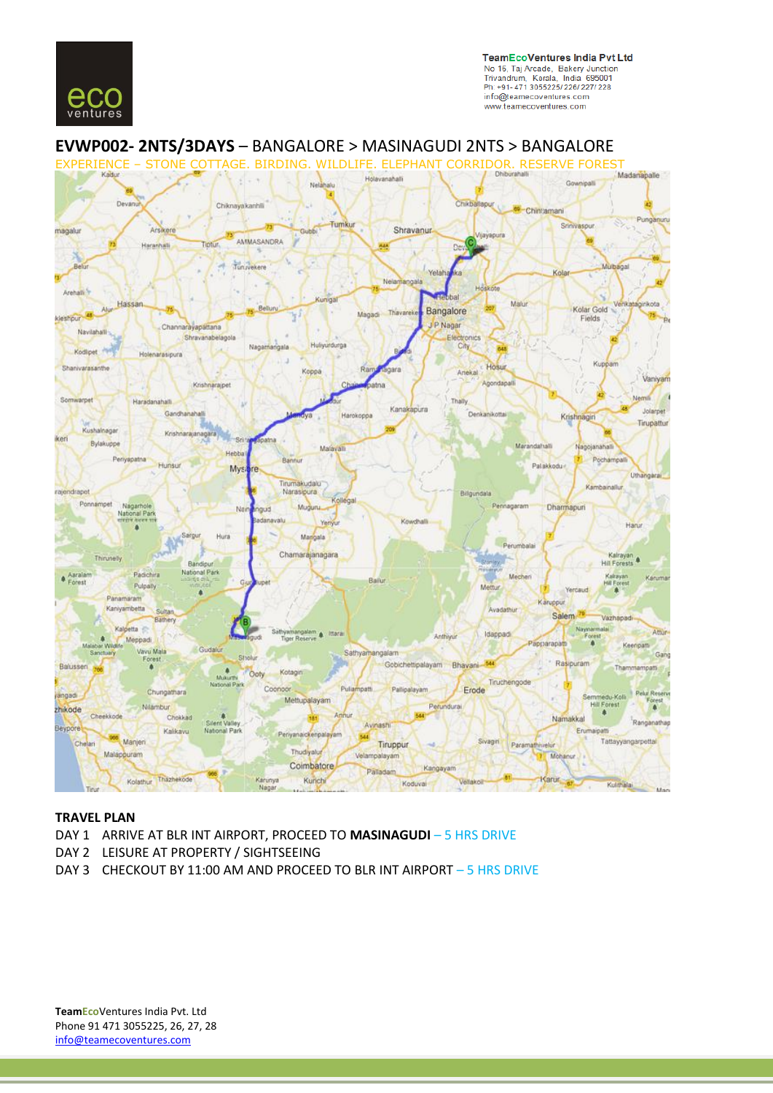



# **EVWP002- 2NTS/3DAYS** – BANGALORE > MASINAGUDI 2NTS > BANGALORE

# **TRAVEL PLAN**

- DAY 1 ARRIVE AT BLR INT AIRPORT, PROCEED TO **MASINAGUDI** 5 HRS DRIVE
- DAY 2 LEISURE AT PROPERTY / SIGHTSEEING
- DAY 3 CHECKOUT BY 11:00 AM AND PROCEED TO BLR INT AIRPORT 5 HRS DRIVE